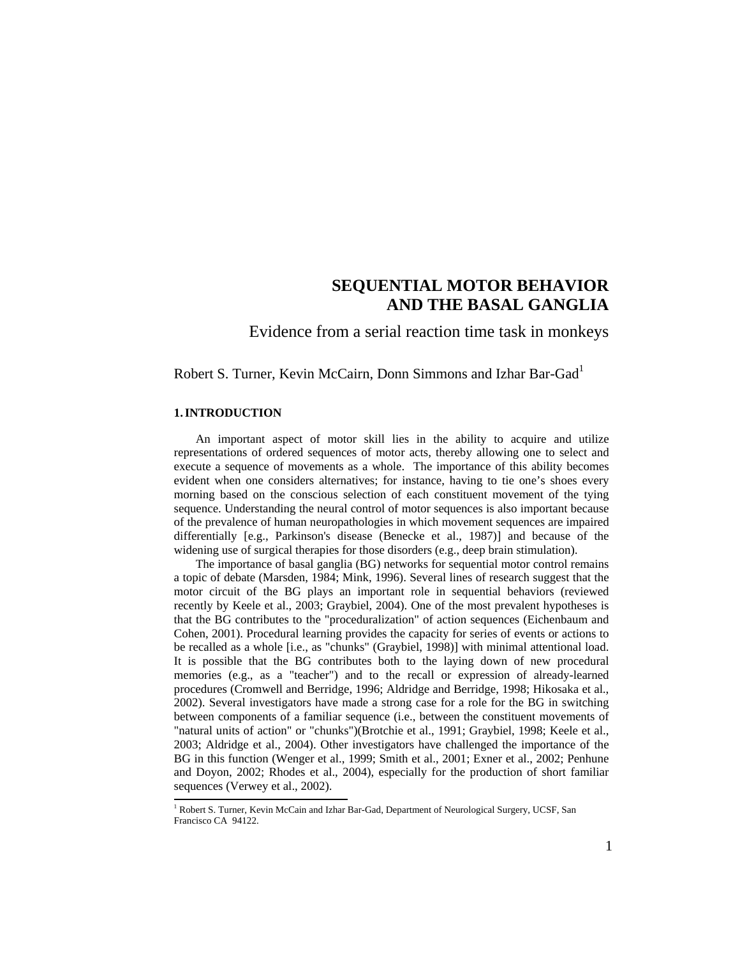# **SEQUENTIAL MOTOR BEHAVIOR AND THE BASAL GANGLIA**

Evidence from a serial reaction time task in monkeys

Robert S. Turner, Kevin McCairn, Donn Simmons and Izhar Bar-Gad<sup>1</sup>

# **1.INTRODUCTION**

An important aspect of motor skill lies in the ability to acquire and utilize representations of ordered sequences of motor acts, thereby allowing one to select and execute a sequence of movements as a whole. The importance of this ability becomes evident when one considers alternatives; for instance, having to tie one's shoes every morning based on the conscious selection of each constituent movement of the tying sequence. Understanding the neural control of motor sequences is also important because of the prevalence of human neuropathologies in which movement sequences are impaired differentially [e.g., Parkinson's disease (Benecke et al., 1987)] and because of the widening use of surgical therapies for those disorders (e.g., deep brain stimulation).

The importance of basal ganglia (BG) networks for sequential motor control remains a topic of debate (Marsden, 1984; Mink, 1996). Several lines of research suggest that the motor circuit of the BG plays an important role in sequential behaviors (reviewed recently by Keele et al., 2003; Graybiel, 2004). One of the most prevalent hypotheses is that the BG contributes to the "proceduralization" of action sequences (Eichenbaum and Cohen, 2001). Procedural learning provides the capacity for series of events or actions to be recalled as a whole [i.e., as "chunks" (Graybiel, 1998)] with minimal attentional load. It is possible that the BG contributes both to the laying down of new procedural memories (e.g., as a "teacher") and to the recall or expression of already-learned procedures (Cromwell and Berridge, 1996; Aldridge and Berridge, 1998; Hikosaka et al., 2002). Several investigators have made a strong case for a role for the BG in switching between components of a familiar sequence (i.e., between the constituent movements of "natural units of action" or "chunks")(Brotchie et al., 1991; Graybiel, 1998; Keele et al., 2003; Aldridge et al., 2004). Other investigators have challenged the importance of the BG in this function (Wenger et al., 1999; Smith et al., 2001; Exner et al., 2002; Penhune and Doyon, 2002; Rhodes et al., 2004), especially for the production of short familiar sequences (Verwey et al., 2002).

<sup>1&</sup>lt;br><sup>1</sup> Robert S. Turner, Kevin McCain and Izhar Bar-Gad, Department of Neurological Surgery, UCSF, San Francisco CA 94122.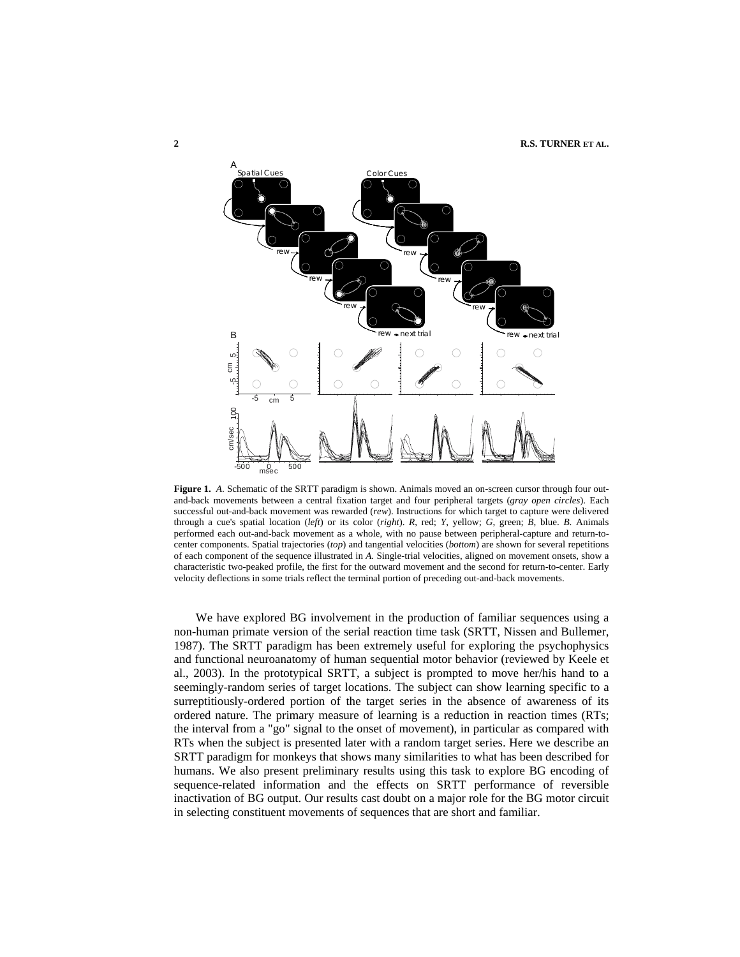

**Figure 1.** *A*. Schematic of the SRTT paradigm is shown. Animals moved an on-screen cursor through four outand-back movements between a central fixation target and four peripheral targets (*gray open circles*). Each successful out-and-back movement was rewarded (*rew*). Instructions for which target to capture were delivered through a cue's spatial location (*left*) or its color (*right*). *R*, red; *Y*, yellow; *G*, green; *B*, blue. *B*. Animals performed each out-and-back movement as a whole, with no pause between peripheral-capture and return-tocenter components. Spatial trajectories (*top*) and tangential velocities (*bottom*) are shown for several repetitions of each component of the sequence illustrated in *A*. Single-trial velocities, aligned on movement onsets, show a characteristic two-peaked profile, the first for the outward movement and the second for return-to-center. Early velocity deflections in some trials reflect the terminal portion of preceding out-and-back movements.

We have explored BG involvement in the production of familiar sequences using a non-human primate version of the serial reaction time task (SRTT, Nissen and Bullemer, 1987). The SRTT paradigm has been extremely useful for exploring the psychophysics and functional neuroanatomy of human sequential motor behavior (reviewed by Keele et al., 2003). In the prototypical SRTT, a subject is prompted to move her/his hand to a seemingly-random series of target locations. The subject can show learning specific to a surreptitiously-ordered portion of the target series in the absence of awareness of its ordered nature. The primary measure of learning is a reduction in reaction times (RTs; the interval from a "go" signal to the onset of movement), in particular as compared with RTs when the subject is presented later with a random target series. Here we describe an SRTT paradigm for monkeys that shows many similarities to what has been described for humans. We also present preliminary results using this task to explore BG encoding of sequence-related information and the effects on SRTT performance of reversible inactivation of BG output. Our results cast doubt on a major role for the BG motor circuit in selecting constituent movements of sequences that are short and familiar.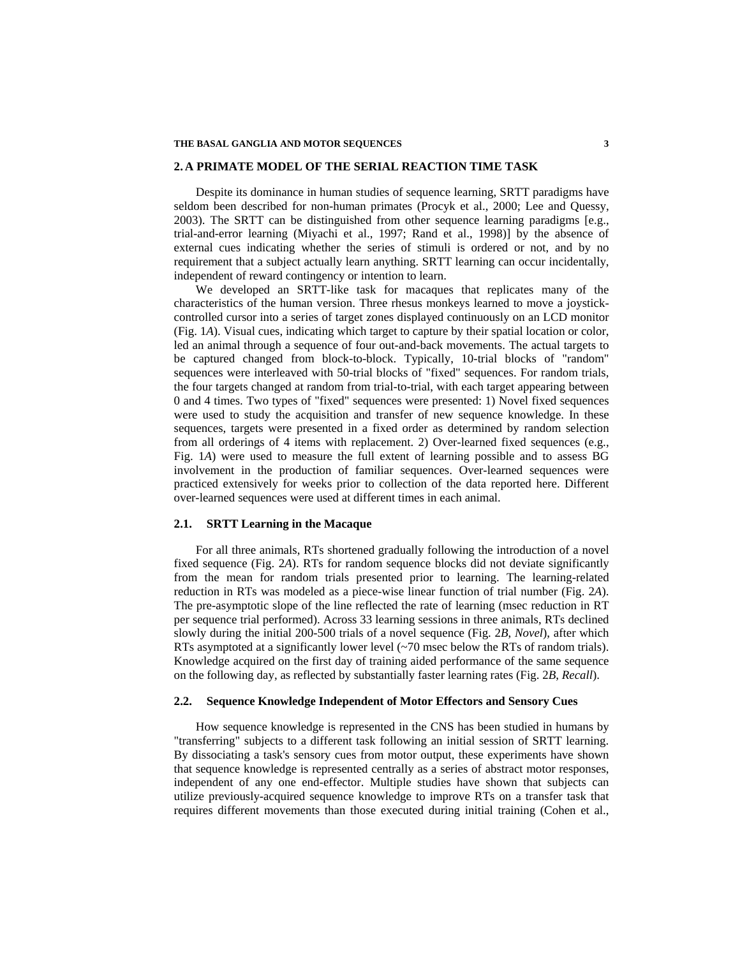## **2. A PRIMATE MODEL OF THE SERIAL REACTION TIME TASK**

Despite its dominance in human studies of sequence learning, SRTT paradigms have seldom been described for non-human primates (Procyk et al., 2000; Lee and Quessy, 2003). The SRTT can be distinguished from other sequence learning paradigms [e.g., trial-and-error learning (Miyachi et al., 1997; Rand et al., 1998)] by the absence of external cues indicating whether the series of stimuli is ordered or not, and by no requirement that a subject actually learn anything. SRTT learning can occur incidentally, independent of reward contingency or intention to learn.

We developed an SRTT-like task for macaques that replicates many of the characteristics of the human version. Three rhesus monkeys learned to move a joystickcontrolled cursor into a series of target zones displayed continuously on an LCD monitor (Fig. 1*A*). Visual cues, indicating which target to capture by their spatial location or color, led an animal through a sequence of four out-and-back movements. The actual targets to be captured changed from block-to-block. Typically, 10-trial blocks of "random" sequences were interleaved with 50-trial blocks of "fixed" sequences. For random trials, the four targets changed at random from trial-to-trial, with each target appearing between 0 and 4 times. Two types of "fixed" sequences were presented: 1) Novel fixed sequences were used to study the acquisition and transfer of new sequence knowledge. In these sequences, targets were presented in a fixed order as determined by random selection from all orderings of 4 items with replacement. 2) Over-learned fixed sequences (e.g., Fig. 1*A*) were used to measure the full extent of learning possible and to assess BG involvement in the production of familiar sequences. Over-learned sequences were practiced extensively for weeks prior to collection of the data reported here. Different over-learned sequences were used at different times in each animal.

# **2.1. SRTT Learning in the Macaque**

For all three animals, RTs shortened gradually following the introduction of a novel fixed sequence (Fig. 2*A*). RTs for random sequence blocks did not deviate significantly from the mean for random trials presented prior to learning. The learning-related reduction in RTs was modeled as a piece-wise linear function of trial number (Fig. 2*A*). The pre-asymptotic slope of the line reflected the rate of learning (msec reduction in RT per sequence trial performed). Across 33 learning sessions in three animals, RTs declined slowly during the initial 200-500 trials of a novel sequence (Fig. 2*B*, *Novel*), after which RTs asymptoted at a significantly lower level  $\left(\sim 70\right)$  msec below the RTs of random trials). Knowledge acquired on the first day of training aided performance of the same sequence on the following day, as reflected by substantially faster learning rates (Fig. 2*B*, *Recall*).

## **2.2. Sequence Knowledge Independent of Motor Effectors and Sensory Cues**

How sequence knowledge is represented in the CNS has been studied in humans by "transferring" subjects to a different task following an initial session of SRTT learning. By dissociating a task's sensory cues from motor output, these experiments have shown that sequence knowledge is represented centrally as a series of abstract motor responses, independent of any one end-effector. Multiple studies have shown that subjects can utilize previously-acquired sequence knowledge to improve RTs on a transfer task that requires different movements than those executed during initial training (Cohen et al.,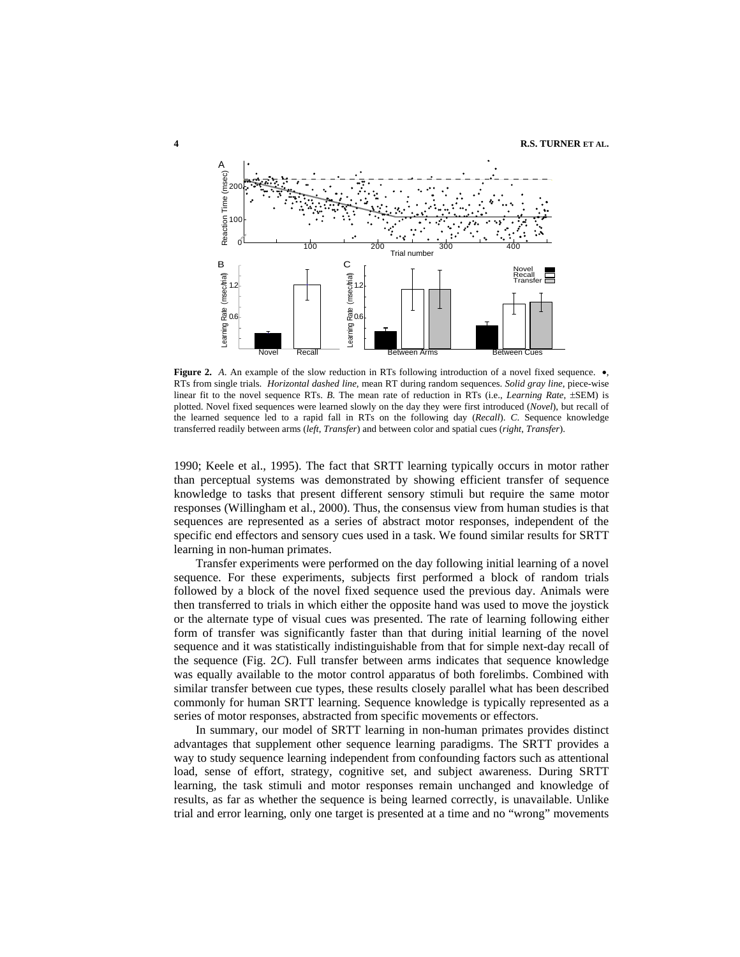

**Figure 2.** A. An example of the slow reduction in RTs following introduction of a novel fixed sequence.  $\bullet$ , RTs from single trials. *Horizontal dashed line*, mean RT during random sequences. *Solid gray line*, piece-wise linear fit to the novel sequence RTs. *B*. The mean rate of reduction in RTs (i.e., *Learning Rate*, ±SEM) is plotted. Novel fixed sequences were learned slowly on the day they were first introduced (*Novel*), but recall of the learned sequence led to a rapid fall in RTs on the following day (*Recall*). *C*. Sequence knowledge transferred readily between arms (*left*, *Transfer*) and between color and spatial cues (*right*, *Transfer*).

1990; Keele et al., 1995). The fact that SRTT learning typically occurs in motor rather than perceptual systems was demonstrated by showing efficient transfer of sequence knowledge to tasks that present different sensory stimuli but require the same motor responses (Willingham et al., 2000). Thus, the consensus view from human studies is that sequences are represented as a series of abstract motor responses, independent of the specific end effectors and sensory cues used in a task. We found similar results for SRTT learning in non-human primates.

Transfer experiments were performed on the day following initial learning of a novel sequence. For these experiments, subjects first performed a block of random trials followed by a block of the novel fixed sequence used the previous day. Animals were then transferred to trials in which either the opposite hand was used to move the joystick or the alternate type of visual cues was presented. The rate of learning following either form of transfer was significantly faster than that during initial learning of the novel sequence and it was statistically indistinguishable from that for simple next-day recall of the sequence (Fig. 2*C*). Full transfer between arms indicates that sequence knowledge was equally available to the motor control apparatus of both forelimbs. Combined with similar transfer between cue types, these results closely parallel what has been described commonly for human SRTT learning. Sequence knowledge is typically represented as a series of motor responses, abstracted from specific movements or effectors.

In summary, our model of SRTT learning in non-human primates provides distinct advantages that supplement other sequence learning paradigms. The SRTT provides a way to study sequence learning independent from confounding factors such as attentional load, sense of effort, strategy, cognitive set, and subject awareness. During SRTT learning, the task stimuli and motor responses remain unchanged and knowledge of results, as far as whether the sequence is being learned correctly, is unavailable. Unlike trial and error learning, only one target is presented at a time and no "wrong" movements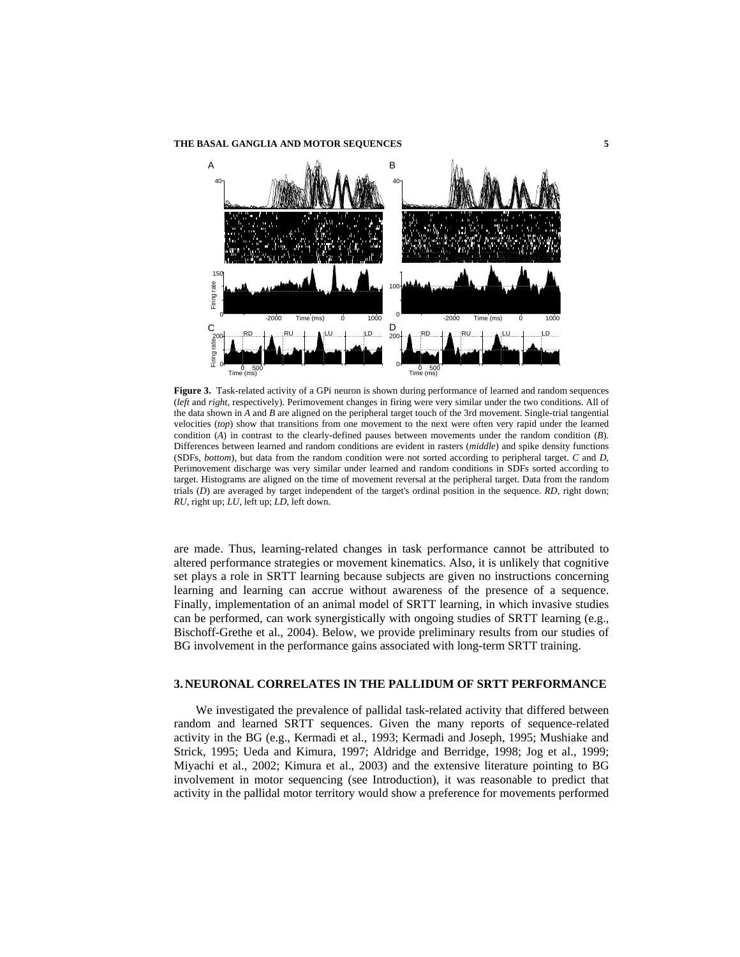

**Figure 3.** Task-related activity of a GPi neuron is shown during performance of learned and random sequences (*left* and *right*, respectively). Perimovement changes in firing were very similar under the two conditions. All of the data shown in *A* and *B* are aligned on the peripheral target touch of the 3rd movement. Single-trial tangential velocities (*top*) show that transitions from one movement to the next were often very rapid under the learned condition (*A*) in contrast to the clearly-defined pauses between movements under the random condition (*B*). Differences between learned and random conditions are evident in rasters (*middle*) and spike density functions (SDFs, *bottom*), but data from the random condition were not sorted according to peripheral target. *C* and *D*, Perimovement discharge was very similar under learned and random conditions in SDFs sorted according to target. Histograms are aligned on the time of movement reversal at the peripheral target. Data from the random trials (*D*) are averaged by target independent of the target's ordinal position in the sequence. *RD,* right down; *RU*, right up; *LU*, left up; *LD*, left down.

are made. Thus, learning-related changes in task performance cannot be attributed to altered performance strategies or movement kinematics. Also, it is unlikely that cognitive set plays a role in SRTT learning because subjects are given no instructions concerning learning and learning can accrue without awareness of the presence of a sequence. Finally, implementation of an animal model of SRTT learning, in which invasive studies can be performed, can work synergistically with ongoing studies of SRTT learning (e.g., Bischoff-Grethe et al., 2004). Below, we provide preliminary results from our studies of BG involvement in the performance gains associated with long-term SRTT training.

# **3. NEURONAL CORRELATES IN THE PALLIDUM OF SRTT PERFORMANCE**

We investigated the prevalence of pallidal task-related activity that differed between random and learned SRTT sequences. Given the many reports of sequence-related activity in the BG (e.g., Kermadi et al., 1993; Kermadi and Joseph, 1995; Mushiake and Strick, 1995; Ueda and Kimura, 1997; Aldridge and Berridge, 1998; Jog et al., 1999; Miyachi et al., 2002; Kimura et al., 2003) and the extensive literature pointing to BG involvement in motor sequencing (see Introduction), it was reasonable to predict that activity in the pallidal motor territory would show a preference for movements performed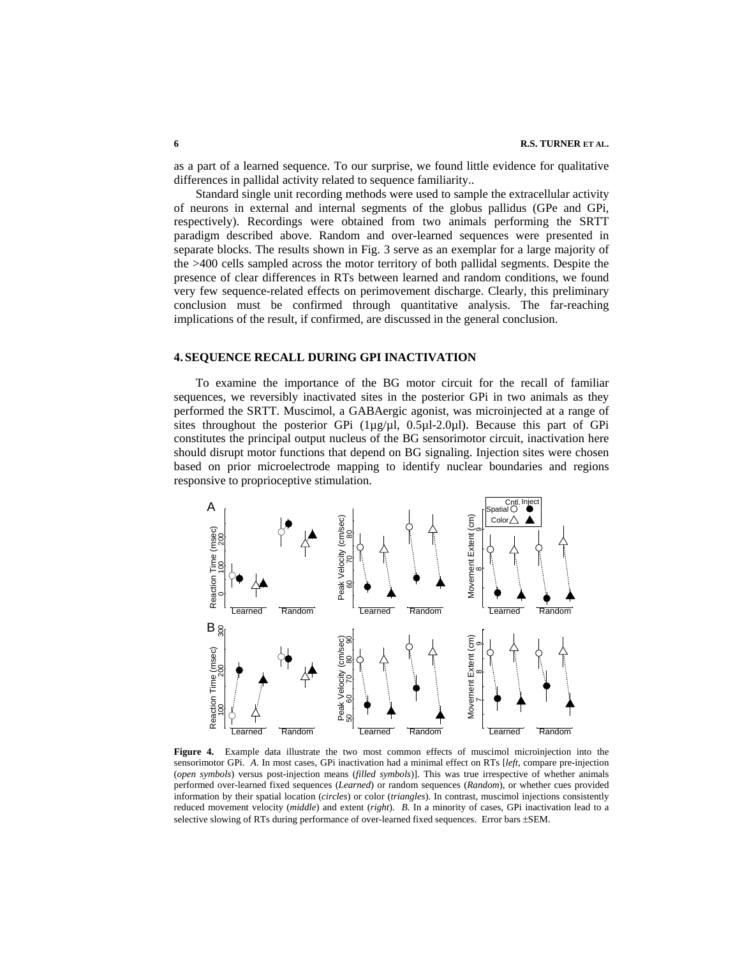as a part of a learned sequence. To our surprise, we found little evidence for qualitative differences in pallidal activity related to sequence familiarity..

Standard single unit recording methods were used to sample the extracellular activity of neurons in external and internal segments of the globus pallidus (GPe and GPi, respectively). Recordings were obtained from two animals performing the SRTT paradigm described above. Random and over-learned sequences were presented in separate blocks. The results shown in Fig. 3 serve as an exemplar for a large majority of the >400 cells sampled across the motor territory of both pallidal segments. Despite the presence of clear differences in RTs between learned and random conditions, we found very few sequence-related effects on perimovement discharge. Clearly, this preliminary conclusion must be confirmed through quantitative analysis. The far-reaching implications of the result, if confirmed, are discussed in the general conclusion.

# **4. SEQUENCE RECALL DURING GPI INACTIVATION**

To examine the importance of the BG motor circuit for the recall of familiar sequences, we reversibly inactivated sites in the posterior GPi in two animals as they performed the SRTT. Muscimol, a GABAergic agonist, was microinjected at a range of sites throughout the posterior GPi (1µg/µl, 0.5µl-2.0µl). Because this part of GPi constitutes the principal output nucleus of the BG sensorimotor circuit, inactivation here should disrupt motor functions that depend on BG signaling. Injection sites were chosen based on prior microelectrode mapping to identify nuclear boundaries and regions responsive to proprioceptive stimulation.



**Figure 4.** Example data illustrate the two most common effects of muscimol microinjection into the sensorimotor GPi. *A*. In most cases, GPi inactivation had a minimal effect on RTs [*left*, compare pre-injection (*open symbols*) versus post-injection means (*filled symbols*)]. This was true irrespective of whether animals performed over-learned fixed sequences (*Learned*) or random sequences (*Random*), or whether cues provided information by their spatial location (*circles*) or color (*triangles*). In contrast, muscimol injections consistently reduced movement velocity (*middle*) and extent (*right*). *B*. In a minority of cases, GPi inactivation lead to a selective slowing of RTs during performance of over-learned fixed sequences. Error bars ±SEM.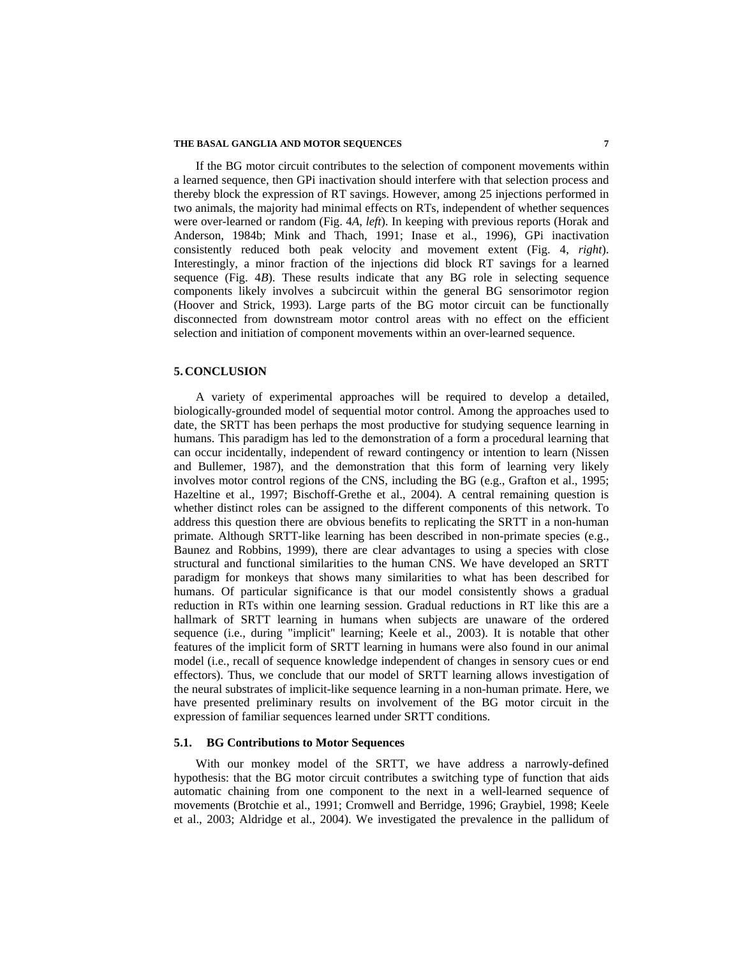#### **THE BASAL GANGLIA AND MOTOR SEQUENCES 7**

If the BG motor circuit contributes to the selection of component movements within a learned sequence, then GPi inactivation should interfere with that selection process and thereby block the expression of RT savings. However, among 25 injections performed in two animals, the majority had minimal effects on RTs, independent of whether sequences were over-learned or random (Fig. 4*A*, *left*). In keeping with previous reports (Horak and Anderson, 1984b; Mink and Thach, 1991; Inase et al., 1996), GPi inactivation consistently reduced both peak velocity and movement extent (Fig. 4, *right*). Interestingly, a minor fraction of the injections did block RT savings for a learned sequence (Fig. 4*B*). These results indicate that any BG role in selecting sequence components likely involves a subcircuit within the general BG sensorimotor region (Hoover and Strick, 1993). Large parts of the BG motor circuit can be functionally disconnected from downstream motor control areas with no effect on the efficient selection and initiation of component movements within an over-learned sequence.

## **5. CONCLUSION**

A variety of experimental approaches will be required to develop a detailed, biologically-grounded model of sequential motor control. Among the approaches used to date, the SRTT has been perhaps the most productive for studying sequence learning in humans. This paradigm has led to the demonstration of a form a procedural learning that can occur incidentally, independent of reward contingency or intention to learn (Nissen and Bullemer, 1987), and the demonstration that this form of learning very likely involves motor control regions of the CNS, including the BG (e.g., Grafton et al., 1995; Hazeltine et al., 1997; Bischoff-Grethe et al., 2004). A central remaining question is whether distinct roles can be assigned to the different components of this network. To address this question there are obvious benefits to replicating the SRTT in a non-human primate. Although SRTT-like learning has been described in non-primate species (e.g., Baunez and Robbins, 1999), there are clear advantages to using a species with close structural and functional similarities to the human CNS. We have developed an SRTT paradigm for monkeys that shows many similarities to what has been described for humans. Of particular significance is that our model consistently shows a gradual reduction in RTs within one learning session. Gradual reductions in RT like this are a hallmark of SRTT learning in humans when subjects are unaware of the ordered sequence (i.e., during "implicit" learning; Keele et al., 2003). It is notable that other features of the implicit form of SRTT learning in humans were also found in our animal model (i.e., recall of sequence knowledge independent of changes in sensory cues or end effectors). Thus, we conclude that our model of SRTT learning allows investigation of the neural substrates of implicit-like sequence learning in a non-human primate. Here, we have presented preliminary results on involvement of the BG motor circuit in the expression of familiar sequences learned under SRTT conditions.

## **5.1. BG Contributions to Motor Sequences**

With our monkey model of the SRTT, we have address a narrowly-defined hypothesis: that the BG motor circuit contributes a switching type of function that aids automatic chaining from one component to the next in a well-learned sequence of movements (Brotchie et al., 1991; Cromwell and Berridge, 1996; Graybiel, 1998; Keele et al., 2003; Aldridge et al., 2004). We investigated the prevalence in the pallidum of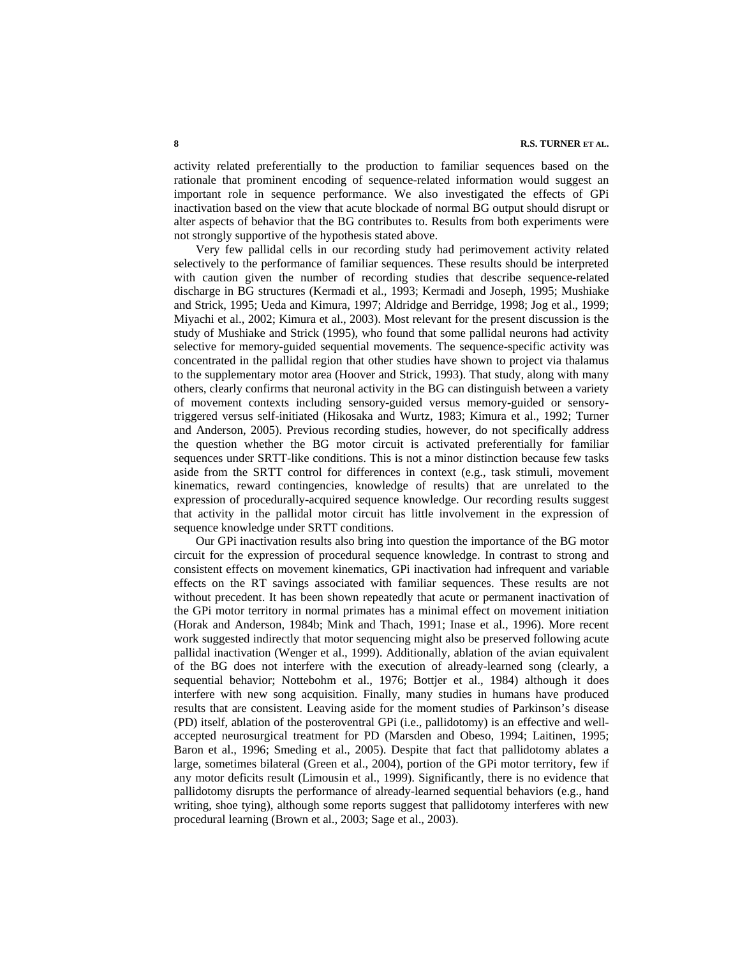activity related preferentially to the production to familiar sequences based on the rationale that prominent encoding of sequence-related information would suggest an important role in sequence performance. We also investigated the effects of GPi inactivation based on the view that acute blockade of normal BG output should disrupt or alter aspects of behavior that the BG contributes to. Results from both experiments were not strongly supportive of the hypothesis stated above.

Very few pallidal cells in our recording study had perimovement activity related selectively to the performance of familiar sequences. These results should be interpreted with caution given the number of recording studies that describe sequence-related discharge in BG structures (Kermadi et al., 1993; Kermadi and Joseph, 1995; Mushiake and Strick, 1995; Ueda and Kimura, 1997; Aldridge and Berridge, 1998; Jog et al., 1999; Miyachi et al., 2002; Kimura et al., 2003). Most relevant for the present discussion is the study of Mushiake and Strick (1995), who found that some pallidal neurons had activity selective for memory-guided sequential movements. The sequence-specific activity was concentrated in the pallidal region that other studies have shown to project via thalamus to the supplementary motor area (Hoover and Strick, 1993). That study, along with many others, clearly confirms that neuronal activity in the BG can distinguish between a variety of movement contexts including sensory-guided versus memory-guided or sensorytriggered versus self-initiated (Hikosaka and Wurtz, 1983; Kimura et al., 1992; Turner and Anderson, 2005). Previous recording studies, however, do not specifically address the question whether the BG motor circuit is activated preferentially for familiar sequences under SRTT-like conditions. This is not a minor distinction because few tasks aside from the SRTT control for differences in context (e.g., task stimuli, movement kinematics, reward contingencies, knowledge of results) that are unrelated to the expression of procedurally-acquired sequence knowledge. Our recording results suggest that activity in the pallidal motor circuit has little involvement in the expression of sequence knowledge under SRTT conditions.

Our GPi inactivation results also bring into question the importance of the BG motor circuit for the expression of procedural sequence knowledge. In contrast to strong and consistent effects on movement kinematics, GPi inactivation had infrequent and variable effects on the RT savings associated with familiar sequences. These results are not without precedent. It has been shown repeatedly that acute or permanent inactivation of the GPi motor territory in normal primates has a minimal effect on movement initiation (Horak and Anderson, 1984b; Mink and Thach, 1991; Inase et al., 1996). More recent work suggested indirectly that motor sequencing might also be preserved following acute pallidal inactivation (Wenger et al., 1999). Additionally, ablation of the avian equivalent of the BG does not interfere with the execution of already-learned song (clearly, a sequential behavior; Nottebohm et al., 1976; Bottjer et al., 1984) although it does interfere with new song acquisition. Finally, many studies in humans have produced results that are consistent. Leaving aside for the moment studies of Parkinson's disease (PD) itself, ablation of the posteroventral GPi (i.e., pallidotomy) is an effective and wellaccepted neurosurgical treatment for PD (Marsden and Obeso, 1994; Laitinen, 1995; Baron et al., 1996; Smeding et al., 2005). Despite that fact that pallidotomy ablates a large, sometimes bilateral (Green et al., 2004), portion of the GPi motor territory, few if any motor deficits result (Limousin et al., 1999). Significantly, there is no evidence that pallidotomy disrupts the performance of already-learned sequential behaviors (e.g., hand writing, shoe tying), although some reports suggest that pallidotomy interferes with new procedural learning (Brown et al., 2003; Sage et al., 2003).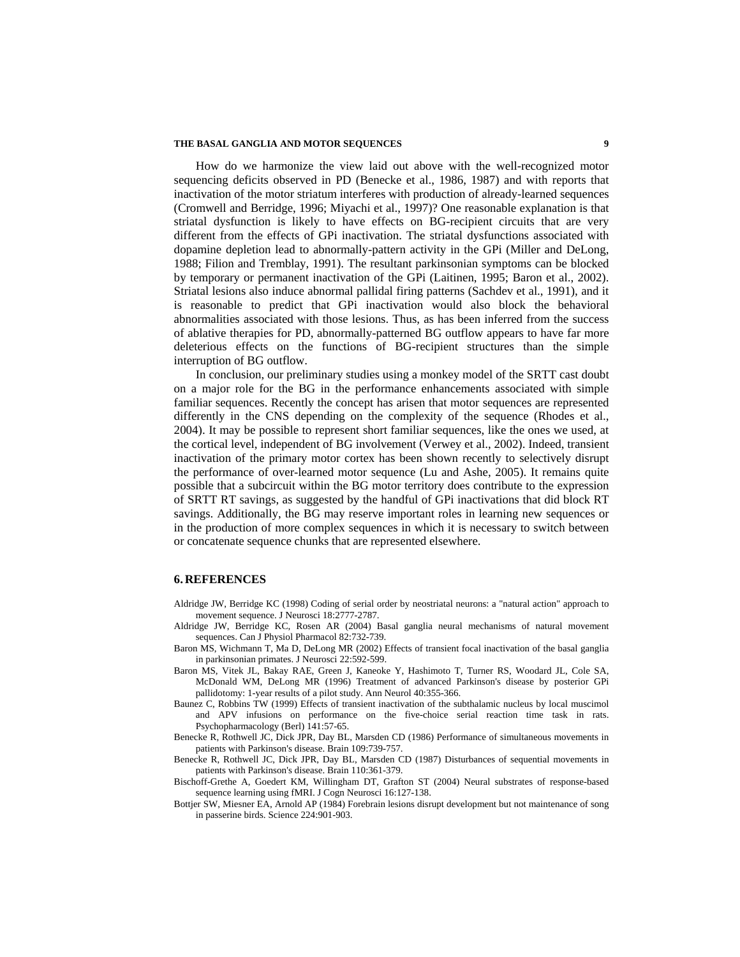#### **THE BASAL GANGLIA AND MOTOR SEQUENCES 9**

How do we harmonize the view laid out above with the well-recognized motor sequencing deficits observed in PD (Benecke et al., 1986, 1987) and with reports that inactivation of the motor striatum interferes with production of already-learned sequences (Cromwell and Berridge, 1996; Miyachi et al., 1997)? One reasonable explanation is that striatal dysfunction is likely to have effects on BG-recipient circuits that are very different from the effects of GPi inactivation. The striatal dysfunctions associated with dopamine depletion lead to abnormally-pattern activity in the GPi (Miller and DeLong, 1988; Filion and Tremblay, 1991). The resultant parkinsonian symptoms can be blocked by temporary or permanent inactivation of the GPi (Laitinen, 1995; Baron et al., 2002). Striatal lesions also induce abnormal pallidal firing patterns (Sachdev et al., 1991), and it is reasonable to predict that GPi inactivation would also block the behavioral abnormalities associated with those lesions. Thus, as has been inferred from the success of ablative therapies for PD, abnormally-patterned BG outflow appears to have far more deleterious effects on the functions of BG-recipient structures than the simple interruption of BG outflow.

In conclusion, our preliminary studies using a monkey model of the SRTT cast doubt on a major role for the BG in the performance enhancements associated with simple familiar sequences. Recently the concept has arisen that motor sequences are represented differently in the CNS depending on the complexity of the sequence (Rhodes et al., 2004). It may be possible to represent short familiar sequences, like the ones we used, at the cortical level, independent of BG involvement (Verwey et al., 2002). Indeed, transient inactivation of the primary motor cortex has been shown recently to selectively disrupt the performance of over-learned motor sequence (Lu and Ashe, 2005). It remains quite possible that a subcircuit within the BG motor territory does contribute to the expression of SRTT RT savings, as suggested by the handful of GPi inactivations that did block RT savings. Additionally, the BG may reserve important roles in learning new sequences or in the production of more complex sequences in which it is necessary to switch between or concatenate sequence chunks that are represented elsewhere.

#### **6. REFERENCES**

- Aldridge JW, Berridge KC (1998) Coding of serial order by neostriatal neurons: a "natural action" approach to movement sequence. J Neurosci 18:2777-2787.
- Aldridge JW, Berridge KC, Rosen AR (2004) Basal ganglia neural mechanisms of natural movement sequences. Can J Physiol Pharmacol 82:732-739.
- Baron MS, Wichmann T, Ma D, DeLong MR (2002) Effects of transient focal inactivation of the basal ganglia in parkinsonian primates. J Neurosci 22:592-599.
- Baron MS, Vitek JL, Bakay RAE, Green J, Kaneoke Y, Hashimoto T, Turner RS, Woodard JL, Cole SA, McDonald WM, DeLong MR (1996) Treatment of advanced Parkinson's disease by posterior GPi pallidotomy: 1-year results of a pilot study. Ann Neurol 40:355-366.
- Baunez C, Robbins TW (1999) Effects of transient inactivation of the subthalamic nucleus by local muscimol and APV infusions on performance on the five-choice serial reaction time task in rats. Psychopharmacology (Berl) 141:57-65.
- Benecke R, Rothwell JC, Dick JPR, Day BL, Marsden CD (1986) Performance of simultaneous movements in patients with Parkinson's disease. Brain 109:739-757.
- Benecke R, Rothwell JC, Dick JPR, Day BL, Marsden CD (1987) Disturbances of sequential movements in patients with Parkinson's disease. Brain 110:361-379.
- Bischoff-Grethe A, Goedert KM, Willingham DT, Grafton ST (2004) Neural substrates of response-based sequence learning using fMRI. J Cogn Neurosci 16:127-138.
- Bottjer SW, Miesner EA, Arnold AP (1984) Forebrain lesions disrupt development but not maintenance of song in passerine birds. Science 224:901-903.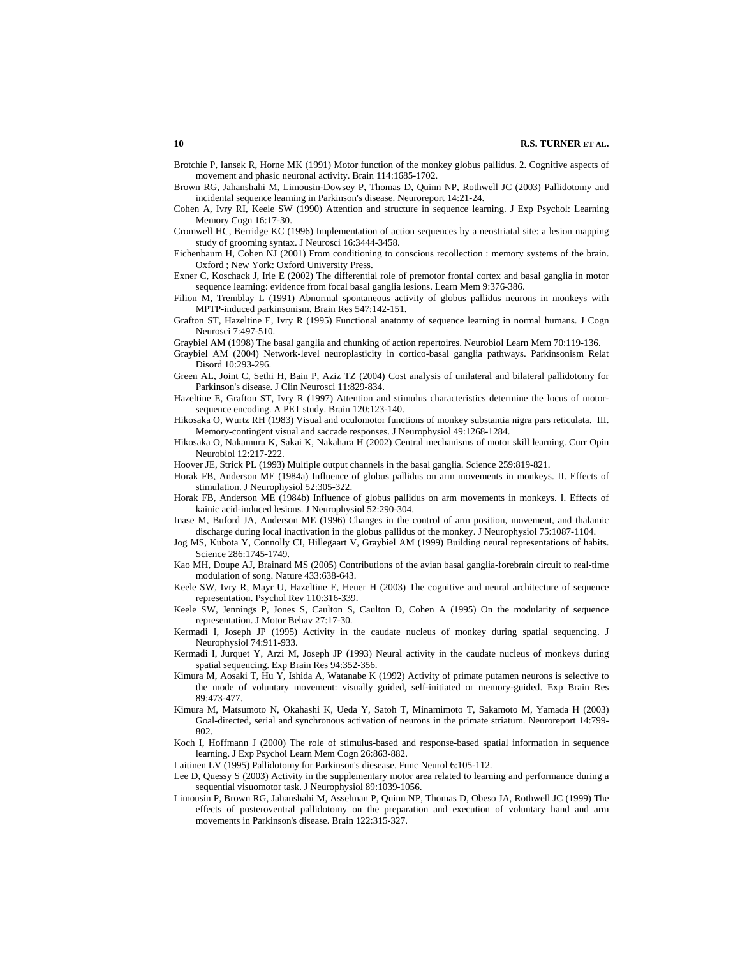- Brotchie P, Iansek R, Horne MK (1991) Motor function of the monkey globus pallidus. 2. Cognitive aspects of movement and phasic neuronal activity. Brain 114:1685-1702.
- Brown RG, Jahanshahi M, Limousin-Dowsey P, Thomas D, Quinn NP, Rothwell JC (2003) Pallidotomy and incidental sequence learning in Parkinson's disease. Neuroreport 14:21-24.
- Cohen A, Ivry RI, Keele SW (1990) Attention and structure in sequence learning. J Exp Psychol: Learning Memory Cogn 16:17-30.
- Cromwell HC, Berridge KC (1996) Implementation of action sequences by a neostriatal site: a lesion mapping study of grooming syntax. J Neurosci 16:3444-3458.
- Eichenbaum H, Cohen NJ (2001) From conditioning to conscious recollection : memory systems of the brain. Oxford ; New York: Oxford University Press.
- Exner C, Koschack J, Irle E (2002) The differential role of premotor frontal cortex and basal ganglia in motor sequence learning: evidence from focal basal ganglia lesions. Learn Mem 9:376-386.
- Filion M, Tremblay L (1991) Abnormal spontaneous activity of globus pallidus neurons in monkeys with MPTP-induced parkinsonism. Brain Res 547:142-151.
- Grafton ST, Hazeltine E, Ivry R (1995) Functional anatomy of sequence learning in normal humans. J Cogn Neurosci 7:497-510.
- Graybiel AM (1998) The basal ganglia and chunking of action repertoires. Neurobiol Learn Mem 70:119-136.
- Graybiel AM (2004) Network-level neuroplasticity in cortico-basal ganglia pathways. Parkinsonism Relat Disord 10:293-296.
- Green AL, Joint C, Sethi H, Bain P, Aziz TZ (2004) Cost analysis of unilateral and bilateral pallidotomy for Parkinson's disease. J Clin Neurosci 11:829-834.
- Hazeltine E, Grafton ST, Ivry R (1997) Attention and stimulus characteristics determine the locus of motorsequence encoding. A PET study. Brain 120:123-140.
- Hikosaka O, Wurtz RH (1983) Visual and oculomotor functions of monkey substantia nigra pars reticulata. III. Memory-contingent visual and saccade responses. J Neurophysiol 49:1268-1284.
- Hikosaka O, Nakamura K, Sakai K, Nakahara H (2002) Central mechanisms of motor skill learning. Curr Opin Neurobiol 12:217-222.
- Hoover JE, Strick PL (1993) Multiple output channels in the basal ganglia. Science 259:819-821.
- Horak FB, Anderson ME (1984a) Influence of globus pallidus on arm movements in monkeys. II. Effects of stimulation. J Neurophysiol 52:305-322.
- Horak FB, Anderson ME (1984b) Influence of globus pallidus on arm movements in monkeys. I. Effects of kainic acid-induced lesions. J Neurophysiol 52:290-304.
- Inase M, Buford JA, Anderson ME (1996) Changes in the control of arm position, movement, and thalamic discharge during local inactivation in the globus pallidus of the monkey. J Neurophysiol 75:1087-1104.
- Jog MS, Kubota Y, Connolly CI, Hillegaart V, Graybiel AM (1999) Building neural representations of habits. Science 286:1745-1749.
- Kao MH, Doupe AJ, Brainard MS (2005) Contributions of the avian basal ganglia-forebrain circuit to real-time modulation of song. Nature 433:638-643.
- Keele SW, Ivry R, Mayr U, Hazeltine E, Heuer H (2003) The cognitive and neural architecture of sequence representation. Psychol Rev 110:316-339.
- Keele SW, Jennings P, Jones S, Caulton S, Caulton D, Cohen A (1995) On the modularity of sequence representation. J Motor Behav 27:17-30.
- Kermadi I, Joseph JP (1995) Activity in the caudate nucleus of monkey during spatial sequencing. J Neurophysiol 74:911-933.
- Kermadi I, Jurquet Y, Arzi M, Joseph JP (1993) Neural activity in the caudate nucleus of monkeys during spatial sequencing. Exp Brain Res 94:352-356.
- Kimura M, Aosaki T, Hu Y, Ishida A, Watanabe K (1992) Activity of primate putamen neurons is selective to the mode of voluntary movement: visually guided, self-initiated or memory-guided. Exp Brain Res 89:473-477.
- Kimura M, Matsumoto N, Okahashi K, Ueda Y, Satoh T, Minamimoto T, Sakamoto M, Yamada H (2003) Goal-directed, serial and synchronous activation of neurons in the primate striatum. Neuroreport 14:799- 802.
- Koch I, Hoffmann J (2000) The role of stimulus-based and response-based spatial information in sequence learning. J Exp Psychol Learn Mem Cogn 26:863-882.
- Laitinen LV (1995) Pallidotomy for Parkinson's diesease. Func Neurol 6:105-112.
- Lee D, Quessy S (2003) Activity in the supplementary motor area related to learning and performance during a sequential visuomotor task. J Neurophysiol 89:1039-1056.
- Limousin P, Brown RG, Jahanshahi M, Asselman P, Quinn NP, Thomas D, Obeso JA, Rothwell JC (1999) The effects of posteroventral pallidotomy on the preparation and execution of voluntary hand and arm movements in Parkinson's disease. Brain 122:315-327.